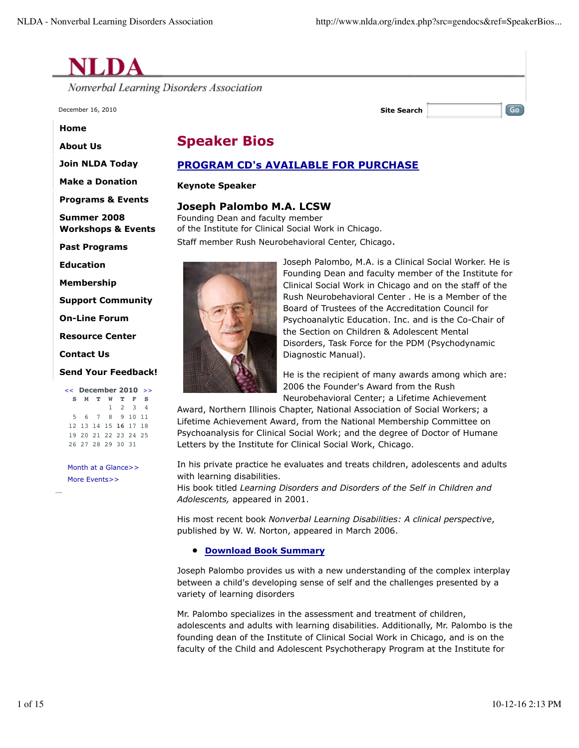$\overline{\mathsf{Go}}$ 



Nonverbal Learning Disorders Association

December 16, 2010 **Site Search**

**Home**

**About Us**

**Join NLDA Today**

**Make a Donation Programs & Events**

**Summer 2008**

**Workshops & Events**

**Past Programs**

**Education**

**Membership**

**Support Community**

**On-Line Forum**

**Resource Center**

**Contact Us**

**Send Your Feedback!** << **December 2010** >>

|  |                   |  | S M T W T F S        |  |
|--|-------------------|--|----------------------|--|
|  |                   |  | $1 \t2 \t3 \t4$      |  |
|  |                   |  | 5 6 7 8 9 10 11      |  |
|  |                   |  | 12 13 14 15 16 17 18 |  |
|  |                   |  | 19 20 21 22 23 24 25 |  |
|  | 26 27 28 29 30 31 |  |                      |  |

Month at a Glance>> More Events>>

| <b>Speaker Bios</b> |  |
|---------------------|--|
|---------------------|--|

## **PROGRAM CD's AVAILABLE FOR PURCHASE**

**Keynote Speaker**

## **Joseph Palombo M.A. LCSW**

Founding Dean and faculty member of the Institute for Clinical Social Work in Chicago. Staff member Rush Neurobehavioral Center, Chicago.



Joseph Palombo, M.A. is a Clinical Social Worker. He is Founding Dean and faculty member of the Institute for Clinical Social Work in Chicago and on the staff of the Rush Neurobehavioral Center . He is a Member of the Board of Trustees of the Accreditation Council for Psychoanalytic Education. Inc. and is the Co-Chair of the Section on Children & Adolescent Mental Disorders, Task Force for the PDM (Psychodynamic Diagnostic Manual).

He is the recipient of many awards among which are: 2006 the Founder's Award from the Rush Neurobehavioral Center; a Lifetime Achievement

Award, Northern Illinois Chapter, National Association of Social Workers; a Lifetime Achievement Award, from the National Membership Committee on Psychoanalysis for Clinical Social Work; and the degree of Doctor of Humane Letters by the Institute for Clinical Social Work, Chicago.

In his private practice he evaluates and treats children, adolescents and adults with learning disabilities.

His book titled *Learning Disorders and Disorders of the Self in Children and Adolescents,* appeared in 2001.

His most recent book *Nonverbal Learning Disabilities: A clinical perspective*, published by W. W. Norton, appeared in March 2006.

## **Download Book Summary**

Joseph Palombo provides us with a new understanding of the complex interplay between a child's developing sense of self and the challenges presented by a variety of learning disorders

Mr. Palombo specializes in the assessment and treatment of children, adolescents and adults with learning disabilities. Additionally, Mr. Palombo is the founding dean of the Institute of Clinical Social Work in Chicago, and is on the faculty of the Child and Adolescent Psychotherapy Program at the Institute for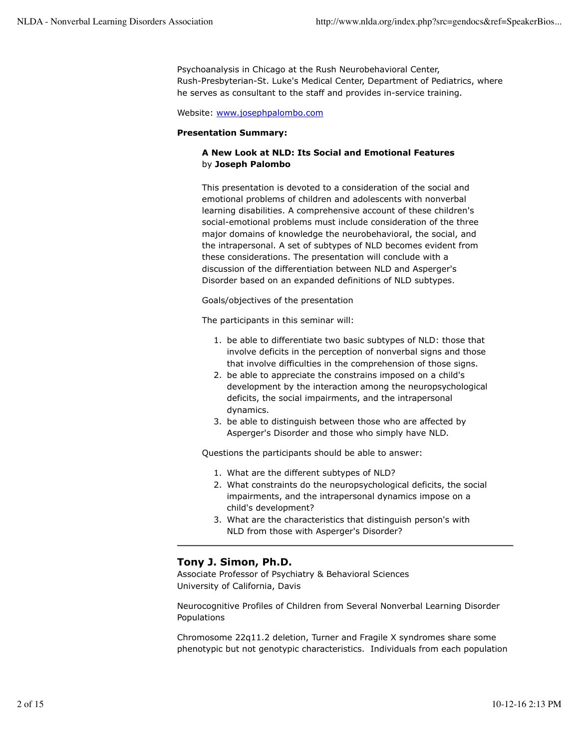Psychoanalysis in Chicago at the Rush Neurobehavioral Center, Rush-Presbyterian-St. Luke's Medical Center, Department of Pediatrics, where he serves as consultant to the staff and provides in-service training.

Website: www.josephpalombo.com

#### **Presentation Summary:**

## **A New Look at NLD: Its Social and Emotional Features** by **Joseph Palombo**

This presentation is devoted to a consideration of the social and emotional problems of children and adolescents with nonverbal learning disabilities. A comprehensive account of these children's social-emotional problems must include consideration of the three major domains of knowledge the neurobehavioral, the social, and the intrapersonal. A set of subtypes of NLD becomes evident from these considerations. The presentation will conclude with a discussion of the differentiation between NLD and Asperger's Disorder based on an expanded definitions of NLD subtypes.

Goals/objectives of the presentation

The participants in this seminar will:

- 1. be able to differentiate two basic subtypes of NLD: those that involve deficits in the perception of nonverbal signs and those that involve difficulties in the comprehension of those signs.
- 2. be able to appreciate the constrains imposed on a child's development by the interaction among the neuropsychological deficits, the social impairments, and the intrapersonal dynamics.
- 3. be able to distinguish between those who are affected by Asperger's Disorder and those who simply have NLD.

Questions the participants should be able to answer:

- 1. What are the different subtypes of NLD?
- What constraints do the neuropsychological deficits, the social 2. impairments, and the intrapersonal dynamics impose on a child's development?
- 3. What are the characteristics that distinguish person's with NLD from those with Asperger's Disorder?

## **Tony J. Simon, Ph.D.**

Associate Professor of Psychiatry & Behavioral Sciences University of California, Davis

Neurocognitive Profiles of Children from Several Nonverbal Learning Disorder Populations

Chromosome 22q11.2 deletion, Turner and Fragile X syndromes share some phenotypic but not genotypic characteristics. Individuals from each population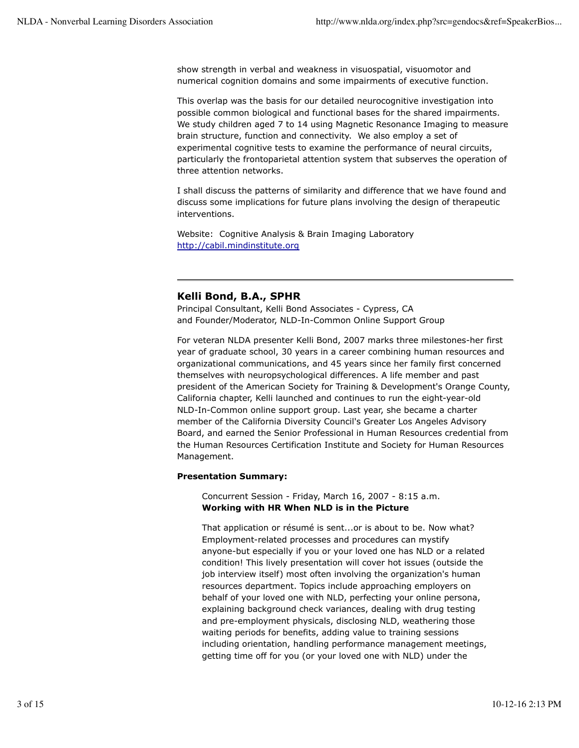show strength in verbal and weakness in visuospatial, visuomotor and numerical cognition domains and some impairments of executive function.

This overlap was the basis for our detailed neurocognitive investigation into possible common biological and functional bases for the shared impairments. We study children aged 7 to 14 using Magnetic Resonance Imaging to measure brain structure, function and connectivity. We also employ a set of experimental cognitive tests to examine the performance of neural circuits, particularly the frontoparietal attention system that subserves the operation of three attention networks.

I shall discuss the patterns of similarity and difference that we have found and discuss some implications for future plans involving the design of therapeutic interventions.

Website: Cognitive Analysis & Brain Imaging Laboratory http://cabil.mindinstitute.org

## **Kelli Bond, B.A., SPHR**

Principal Consultant, Kelli Bond Associates - Cypress, CA and Founder/Moderator, NLD-In-Common Online Support Group

For veteran NLDA presenter Kelli Bond, 2007 marks three milestones-her first year of graduate school, 30 years in a career combining human resources and organizational communications, and 45 years since her family first concerned themselves with neuropsychological differences. A life member and past president of the American Society for Training & Development's Orange County, California chapter, Kelli launched and continues to run the eight-year-old NLD-In-Common online support group. Last year, she became a charter member of the California Diversity Council's Greater Los Angeles Advisory Board, and earned the Senior Professional in Human Resources credential from the Human Resources Certification Institute and Society for Human Resources Management.

### **Presentation Summary:**

Concurrent Session - Friday, March 16, 2007 - 8:15 a.m. **Working with HR When NLD is in the Picture**

That application or résumé is sent...or is about to be. Now what? Employment-related processes and procedures can mystify anyone-but especially if you or your loved one has NLD or a related condition! This lively presentation will cover hot issues (outside the job interview itself) most often involving the organization's human resources department. Topics include approaching employers on behalf of your loved one with NLD, perfecting your online persona, explaining background check variances, dealing with drug testing and pre-employment physicals, disclosing NLD, weathering those waiting periods for benefits, adding value to training sessions including orientation, handling performance management meetings, getting time off for you (or your loved one with NLD) under the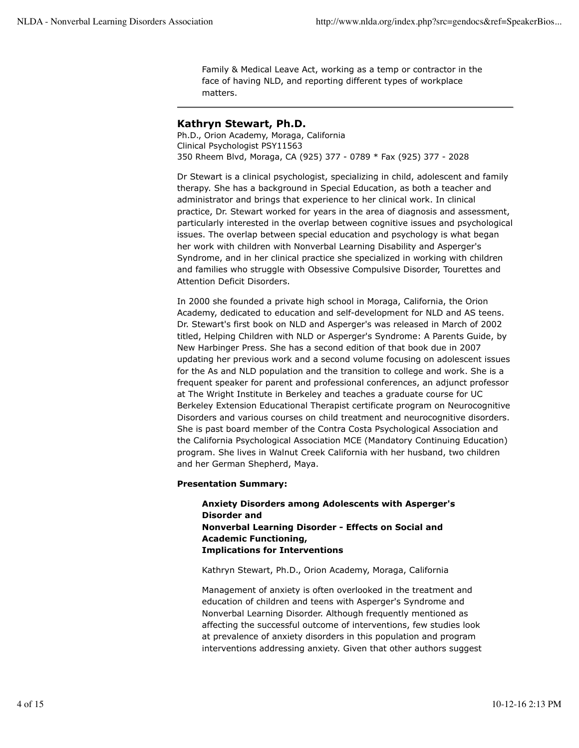Family & Medical Leave Act, working as a temp or contractor in the face of having NLD, and reporting different types of workplace matters.

## **Kathryn Stewart, Ph.D.**

Ph.D., Orion Academy, Moraga, California Clinical Psychologist PSY11563 350 Rheem Blvd, Moraga, CA (925) 377 - 0789 \* Fax (925) 377 - 2028

Dr Stewart is a clinical psychologist, specializing in child, adolescent and family therapy. She has a background in Special Education, as both a teacher and administrator and brings that experience to her clinical work. In clinical practice, Dr. Stewart worked for years in the area of diagnosis and assessment, particularly interested in the overlap between cognitive issues and psychological issues. The overlap between special education and psychology is what began her work with children with Nonverbal Learning Disability and Asperger's Syndrome, and in her clinical practice she specialized in working with children and families who struggle with Obsessive Compulsive Disorder, Tourettes and Attention Deficit Disorders.

In 2000 she founded a private high school in Moraga, California, the Orion Academy, dedicated to education and self-development for NLD and AS teens. Dr. Stewart's first book on NLD and Asperger's was released in March of 2002 titled, Helping Children with NLD or Asperger's Syndrome: A Parents Guide, by New Harbinger Press. She has a second edition of that book due in 2007 updating her previous work and a second volume focusing on adolescent issues for the As and NLD population and the transition to college and work. She is a frequent speaker for parent and professional conferences, an adjunct professor at The Wright Institute in Berkeley and teaches a graduate course for UC Berkeley Extension Educational Therapist certificate program on Neurocognitive Disorders and various courses on child treatment and neurocognitive disorders. She is past board member of the Contra Costa Psychological Association and the California Psychological Association MCE (Mandatory Continuing Education) program. She lives in Walnut Creek California with her husband, two children and her German Shepherd, Maya.

### **Presentation Summary:**

**Anxiety Disorders among Adolescents with Asperger's Disorder and Nonverbal Learning Disorder - Effects on Social and Academic Functioning, Implications for Interventions**

Kathryn Stewart, Ph.D., Orion Academy, Moraga, California

Management of anxiety is often overlooked in the treatment and education of children and teens with Asperger's Syndrome and Nonverbal Learning Disorder. Although frequently mentioned as affecting the successful outcome of interventions, few studies look at prevalence of anxiety disorders in this population and program interventions addressing anxiety. Given that other authors suggest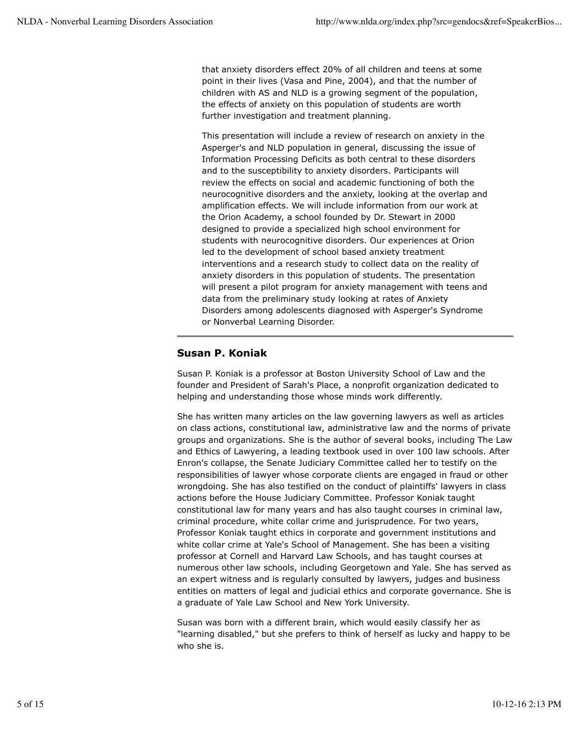that anxiety disorders effect 20% of all children and teens at some point in their lives (Vasa and Pine, 2004), and that the number of children with AS and NLD is a growing segment of the population, the effects of anxiety on this population of students are worth further investigation and treatment planning.

This presentation will include a review of research on anxiety in the Asperger's and NLD population in general, discussing the issue of Information Processing Deficits as both central to these disorders and to the susceptibility to anxiety disorders. Participants will review the effects on social and academic functioning of both the neurocognitive disorders and the anxiety, looking at the overlap and amplification effects. We will include information from our work at the Orion Academy, a school founded by Dr. Stewart in 2000 designed to provide a specialized high school environment for students with neurocognitive disorders. Our experiences at Orion led to the development of school based anxiety treatment interventions and a research study to collect data on the reality of anxiety disorders in this population of students. The presentation will present a pilot program for anxiety management with teens and data from the preliminary study looking at rates of Anxiety Disorders among adolescents diagnosed with Asperger's Syndrome or Nonverbal Learning Disorder.

## **Susan P. Koniak**

Susan P. Koniak is a professor at Boston University School of Law and the founder and President of Sarah's Place, a nonprofit organization dedicated to helping and understanding those whose minds work differently.

She has written many articles on the law governing lawyers as well as articles on class actions, constitutional law, administrative law and the norms of private groups and organizations. She is the author of several books, including The Law and Ethics of Lawyering, a leading textbook used in over 100 law schools. After Enron's collapse, the Senate Judiciary Committee called her to testify on the responsibilities of lawyer whose corporate clients are engaged in fraud or other wrongdoing. She has also testified on the conduct of plaintiffs' lawyers in class actions before the House Judiciary Committee. Professor Koniak taught constitutional law for many years and has also taught courses in criminal law, criminal procedure, white collar crime and jurisprudence. For two years, Professor Koniak taught ethics in corporate and government institutions and white collar crime at Yale's School of Management. She has been a visiting professor at Cornell and Harvard Law Schools, and has taught courses at numerous other law schools, including Georgetown and Yale. She has served as an expert witness and is regularly consulted by lawyers, judges and business entities on matters of legal and judicial ethics and corporate governance. She is a graduate of Yale Law School and New York University.

Susan was born with a different brain, which would easily classify her as "learning disabled," but she prefers to think of herself as lucky and happy to be who she is.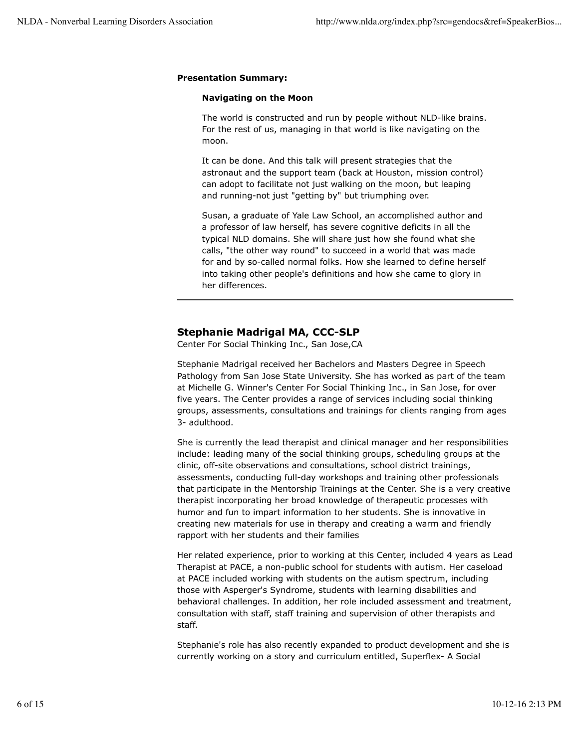#### **Presentation Summary:**

#### **Navigating on the Moon**

The world is constructed and run by people without NLD-like brains. For the rest of us, managing in that world is like navigating on the moon.

It can be done. And this talk will present strategies that the astronaut and the support team (back at Houston, mission control) can adopt to facilitate not just walking on the moon, but leaping and running-not just "getting by" but triumphing over.

Susan, a graduate of Yale Law School, an accomplished author and a professor of law herself, has severe cognitive deficits in all the typical NLD domains. She will share just how she found what she calls, "the other way round" to succeed in a world that was made for and by so-called normal folks. How she learned to define herself into taking other people's definitions and how she came to glory in her differences.

## **Stephanie Madrigal MA, CCC-SLP**

Center For Social Thinking Inc., San Jose,CA

Stephanie Madrigal received her Bachelors and Masters Degree in Speech Pathology from San Jose State University. She has worked as part of the team at Michelle G. Winner's Center For Social Thinking Inc., in San Jose, for over five years. The Center provides a range of services including social thinking groups, assessments, consultations and trainings for clients ranging from ages 3- adulthood.

She is currently the lead therapist and clinical manager and her responsibilities include: leading many of the social thinking groups, scheduling groups at the clinic, off-site observations and consultations, school district trainings, assessments, conducting full-day workshops and training other professionals that participate in the Mentorship Trainings at the Center. She is a very creative therapist incorporating her broad knowledge of therapeutic processes with humor and fun to impart information to her students. She is innovative in creating new materials for use in therapy and creating a warm and friendly rapport with her students and their families

Her related experience, prior to working at this Center, included 4 years as Lead Therapist at PACE, a non-public school for students with autism. Her caseload at PACE included working with students on the autism spectrum, including those with Asperger's Syndrome, students with learning disabilities and behavioral challenges. In addition, her role included assessment and treatment, consultation with staff, staff training and supervision of other therapists and staff.

Stephanie's role has also recently expanded to product development and she is currently working on a story and curriculum entitled, Superflex- A Social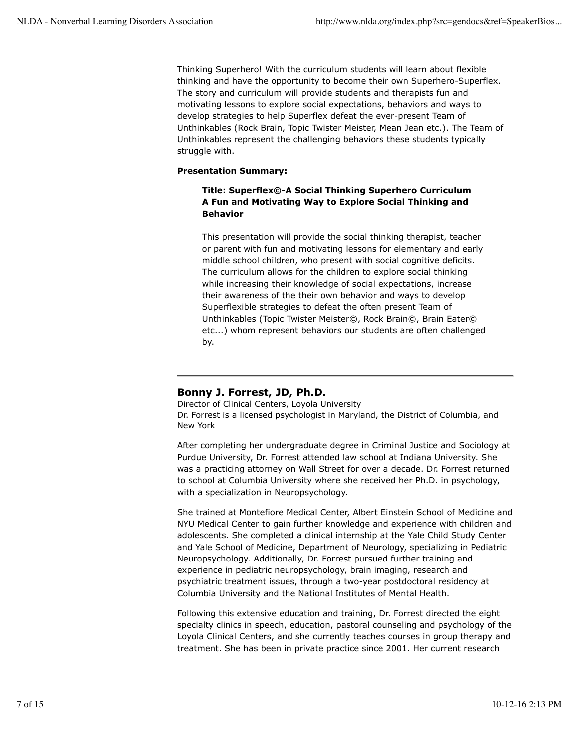Thinking Superhero! With the curriculum students will learn about flexible thinking and have the opportunity to become their own Superhero-Superflex. The story and curriculum will provide students and therapists fun and motivating lessons to explore social expectations, behaviors and ways to develop strategies to help Superflex defeat the ever-present Team of Unthinkables (Rock Brain, Topic Twister Meister, Mean Jean etc.). The Team of Unthinkables represent the challenging behaviors these students typically struggle with.

### **Presentation Summary:**

## **Title: Superflex©-A Social Thinking Superhero Curriculum A Fun and Motivating Way to Explore Social Thinking and Behavior**

This presentation will provide the social thinking therapist, teacher or parent with fun and motivating lessons for elementary and early middle school children, who present with social cognitive deficits. The curriculum allows for the children to explore social thinking while increasing their knowledge of social expectations, increase their awareness of the their own behavior and ways to develop Superflexible strategies to defeat the often present Team of Unthinkables (Topic Twister Meister©, Rock Brain©, Brain Eater© etc...) whom represent behaviors our students are often challenged by.

## **Bonny J. Forrest, JD, Ph.D.**

Director of Clinical Centers, Loyola University Dr. Forrest is a licensed psychologist in Maryland, the District of Columbia, and New York

After completing her undergraduate degree in Criminal Justice and Sociology at Purdue University, Dr. Forrest attended law school at Indiana University. She was a practicing attorney on Wall Street for over a decade. Dr. Forrest returned to school at Columbia University where she received her Ph.D. in psychology, with a specialization in Neuropsychology.

She trained at Montefiore Medical Center, Albert Einstein School of Medicine and NYU Medical Center to gain further knowledge and experience with children and adolescents. She completed a clinical internship at the Yale Child Study Center and Yale School of Medicine, Department of Neurology, specializing in Pediatric Neuropsychology. Additionally, Dr. Forrest pursued further training and experience in pediatric neuropsychology, brain imaging, research and psychiatric treatment issues, through a two-year postdoctoral residency at Columbia University and the National Institutes of Mental Health.

Following this extensive education and training, Dr. Forrest directed the eight specialty clinics in speech, education, pastoral counseling and psychology of the Loyola Clinical Centers, and she currently teaches courses in group therapy and treatment. She has been in private practice since 2001. Her current research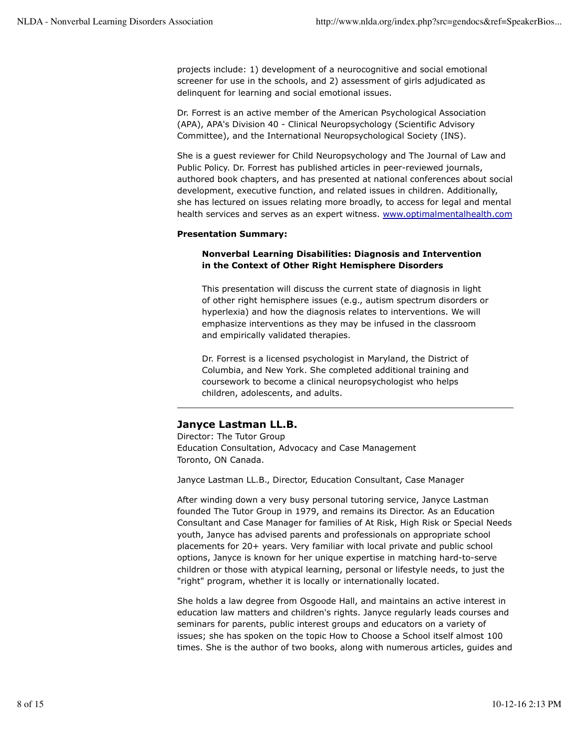projects include: 1) development of a neurocognitive and social emotional screener for use in the schools, and 2) assessment of girls adjudicated as delinquent for learning and social emotional issues.

Dr. Forrest is an active member of the American Psychological Association (APA), APA's Division 40 - Clinical Neuropsychology (Scientific Advisory Committee), and the International Neuropsychological Society (INS).

She is a guest reviewer for Child Neuropsychology and The Journal of Law and Public Policy. Dr. Forrest has published articles in peer-reviewed journals, authored book chapters, and has presented at national conferences about social development, executive function, and related issues in children. Additionally, she has lectured on issues relating more broadly, to access for legal and mental health services and serves as an expert witness. www.optimalmentalhealth.com

### **Presentation Summary:**

## **Nonverbal Learning Disabilities: Diagnosis and Intervention in the Context of Other Right Hemisphere Disorders**

This presentation will discuss the current state of diagnosis in light of other right hemisphere issues (e.g., autism spectrum disorders or hyperlexia) and how the diagnosis relates to interventions. We will emphasize interventions as they may be infused in the classroom and empirically validated therapies.

Dr. Forrest is a licensed psychologist in Maryland, the District of Columbia, and New York. She completed additional training and coursework to become a clinical neuropsychologist who helps children, adolescents, and adults.

## **Janyce Lastman LL.B.**

Director: The Tutor Group Education Consultation, Advocacy and Case Management Toronto, ON Canada.

Janyce Lastman LL.B., Director, Education Consultant, Case Manager

After winding down a very busy personal tutoring service, Janyce Lastman founded The Tutor Group in 1979, and remains its Director. As an Education Consultant and Case Manager for families of At Risk, High Risk or Special Needs youth, Janyce has advised parents and professionals on appropriate school placements for 20+ years. Very familiar with local private and public school options, Janyce is known for her unique expertise in matching hard-to-serve children or those with atypical learning, personal or lifestyle needs, to just the "right" program, whether it is locally or internationally located.

She holds a law degree from Osgoode Hall, and maintains an active interest in education law matters and children's rights. Janyce regularly leads courses and seminars for parents, public interest groups and educators on a variety of issues; she has spoken on the topic How to Choose a School itself almost 100 times. She is the author of two books, along with numerous articles, guides and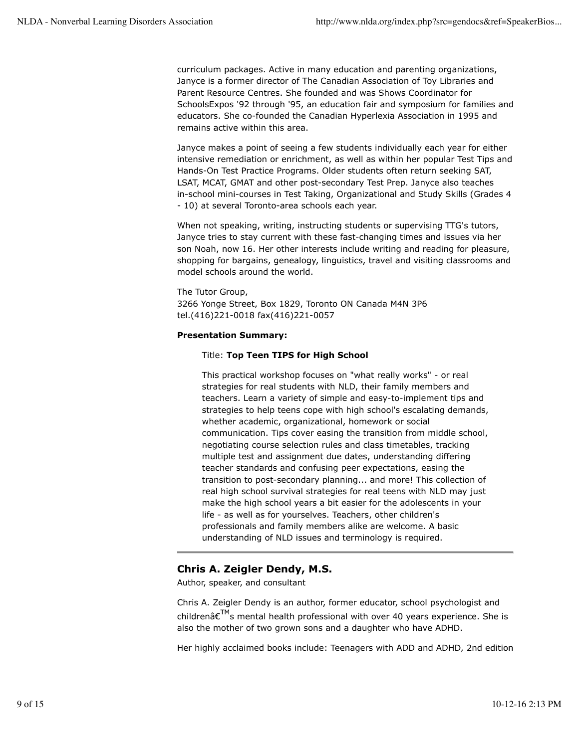curriculum packages. Active in many education and parenting organizations, Janyce is a former director of The Canadian Association of Toy Libraries and Parent Resource Centres. She founded and was Shows Coordinator for SchoolsExpos '92 through '95, an education fair and symposium for families and educators. She co-founded the Canadian Hyperlexia Association in 1995 and remains active within this area.

Janyce makes a point of seeing a few students individually each year for either intensive remediation or enrichment, as well as within her popular Test Tips and Hands-On Test Practice Programs. Older students often return seeking SAT, LSAT, MCAT, GMAT and other post-secondary Test Prep. Janyce also teaches in-school mini-courses in Test Taking, Organizational and Study Skills (Grades 4 - 10) at several Toronto-area schools each year.

When not speaking, writing, instructing students or supervising TTG's tutors, Janyce tries to stay current with these fast-changing times and issues via her son Noah, now 16. Her other interests include writing and reading for pleasure, shopping for bargains, genealogy, linguistics, travel and visiting classrooms and model schools around the world.

The Tutor Group, 3266 Yonge Street, Box 1829, Toronto ON Canada M4N 3P6 tel.(416)221-0018 fax(416)221-0057

### **Presentation Summary:**

#### Title: **Top Teen TIPS for High School**

This practical workshop focuses on "what really works" - or real strategies for real students with NLD, their family members and teachers. Learn a variety of simple and easy-to-implement tips and strategies to help teens cope with high school's escalating demands, whether academic, organizational, homework or social communication. Tips cover easing the transition from middle school, negotiating course selection rules and class timetables, tracking multiple test and assignment due dates, understanding differing teacher standards and confusing peer expectations, easing the transition to post-secondary planning... and more! This collection of real high school survival strategies for real teens with NLD may just make the high school years a bit easier for the adolescents in your life - as well as for yourselves. Teachers, other children's professionals and family members alike are welcome. A basic understanding of NLD issues and terminology is required.

## **Chris A. Zeigler Dendy, M.S.**

Author, speaker, and consultant

Chris A. Zeigler Dendy is an author, former educator, school psychologist and childrenâ $\epsilon^{\texttt{TM}}$ s mental health professional with over 40 years experience. She is also the mother of two grown sons and a daughter who have ADHD.

Her highly acclaimed books include: Teenagers with ADD and ADHD, 2nd edition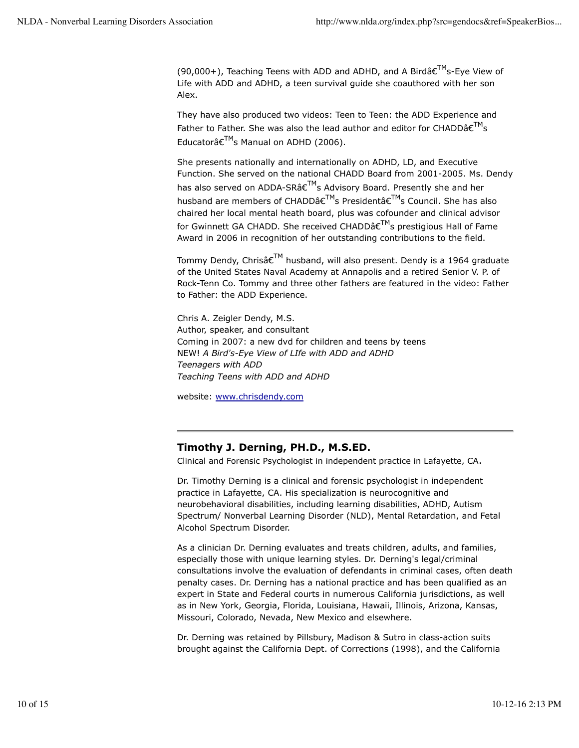(90,000+), Teaching Teens with ADD and ADHD, and A Birdâ $\varepsilon^{TM}$ s-Eye View of Life with ADD and ADHD, a teen survival guide she coauthored with her son Alex.

They have also produced two videos: Teen to Teen: the ADD Experience and Father to Father. She was also the lead author and editor for CHADDâ $\epsilon^{\rm TM}$ s Educatorâ $\varepsilon^{TM}$ s Manual on ADHD (2006).

She presents nationally and internationally on ADHD, LD, and Executive Function. She served on the national CHADD Board from 2001-2005. Ms. Dendy has also served on ADDA-SRâ€<sup>™</sup>s Advisory Board. Presently she and her husband are members of CHADDâ $\varepsilon^{TM}$ s Presidentâ $\varepsilon^{TM}$ s Council. She has also chaired her local mental heath board, plus was cofounder and clinical advisor for Gwinnett GA CHADD. She received CHADD's prestigious Hall of Fame Award in 2006 in recognition of her outstanding contributions to the field.

Tommy Dendy, Chrisâ€<sup>TM</sup> husband, will also present. Dendy is a 1964 graduate of the United States Naval Academy at Annapolis and a retired Senior V. P. of Rock-Tenn Co. Tommy and three other fathers are featured in the video: Father to Father: the ADD Experience.

Chris A. Zeigler Dendy, M.S. Author, speaker, and consultant Coming in 2007: a new dvd for children and teens by teens NEW! *A Bird's-Eye View of LIfe with ADD and ADHD Teenagers with ADD Teaching Teens with ADD and ADHD*

website: www.chrisdendy.com

## **Timothy J. Derning, PH.D., M.S.ED.**

Clinical and Forensic Psychologist in independent practice in Lafayette, CA.

Dr. Timothy Derning is a clinical and forensic psychologist in independent practice in Lafayette, CA. His specialization is neurocognitive and neurobehavioral disabilities, including learning disabilities, ADHD, Autism Spectrum/ Nonverbal Learning Disorder (NLD), Mental Retardation, and Fetal Alcohol Spectrum Disorder.

As a clinician Dr. Derning evaluates and treats children, adults, and families, especially those with unique learning styles. Dr. Derning's legal/criminal consultations involve the evaluation of defendants in criminal cases, often death penalty cases. Dr. Derning has a national practice and has been qualified as an expert in State and Federal courts in numerous California jurisdictions, as well as in New York, Georgia, Florida, Louisiana, Hawaii, Illinois, Arizona, Kansas, Missouri, Colorado, Nevada, New Mexico and elsewhere.

Dr. Derning was retained by Pillsbury, Madison & Sutro in class-action suits brought against the California Dept. of Corrections (1998), and the California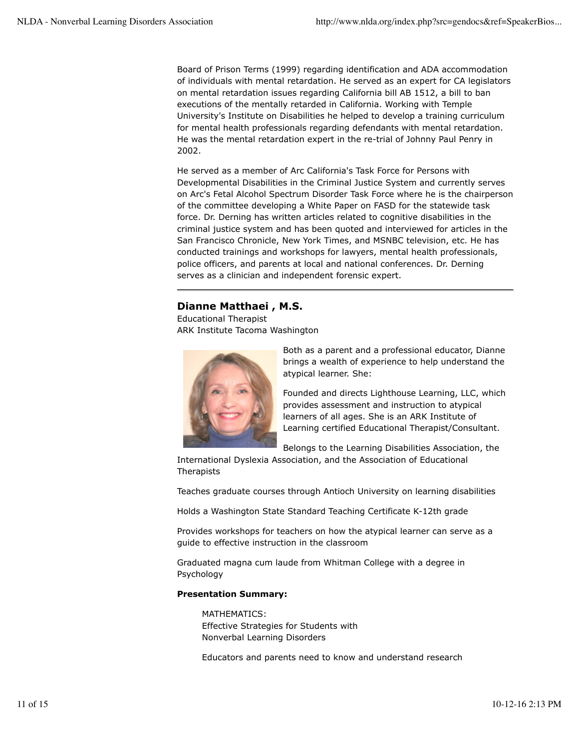Board of Prison Terms (1999) regarding identification and ADA accommodation of individuals with mental retardation. He served as an expert for CA legislators on mental retardation issues regarding California bill AB 1512, a bill to ban executions of the mentally retarded in California. Working with Temple University's Institute on Disabilities he helped to develop a training curriculum for mental health professionals regarding defendants with mental retardation. He was the mental retardation expert in the re-trial of Johnny Paul Penry in 2002.

He served as a member of Arc California's Task Force for Persons with Developmental Disabilities in the Criminal Justice System and currently serves on Arc's Fetal Alcohol Spectrum Disorder Task Force where he is the chairperson of the committee developing a White Paper on FASD for the statewide task force. Dr. Derning has written articles related to cognitive disabilities in the criminal justice system and has been quoted and interviewed for articles in the San Francisco Chronicle, New York Times, and MSNBC television, etc. He has conducted trainings and workshops for lawyers, mental health professionals, police officers, and parents at local and national conferences. Dr. Derning serves as a clinician and independent forensic expert.

## **Dianne Matthaei , M.S.**

Educational Therapist ARK Institute Tacoma Washington



Both as a parent and a professional educator, Dianne brings a wealth of experience to help understand the atypical learner. She:

Founded and directs Lighthouse Learning, LLC, which provides assessment and instruction to atypical learners of all ages. She is an ARK Institute of Learning certified Educational Therapist/Consultant.

Belongs to the Learning Disabilities Association, the

International Dyslexia Association, and the Association of Educational **Therapists** 

Teaches graduate courses through Antioch University on learning disabilities

Holds a Washington State Standard Teaching Certificate K-12th grade

Provides workshops for teachers on how the atypical learner can serve as a guide to effective instruction in the classroom

Graduated magna cum laude from Whitman College with a degree in Psychology

#### **Presentation Summary:**

MATHEMATICS: Effective Strategies for Students with Nonverbal Learning Disorders

Educators and parents need to know and understand research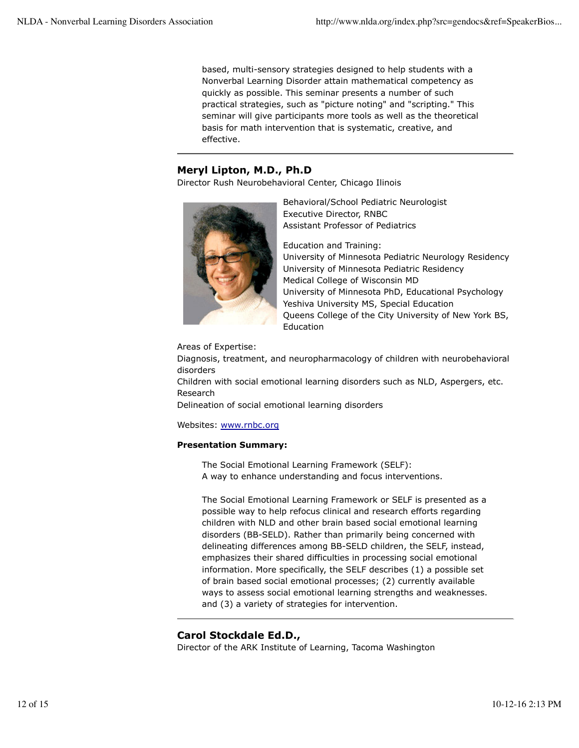based, multi-sensory strategies designed to help students with a Nonverbal Learning Disorder attain mathematical competency as quickly as possible. This seminar presents a number of such practical strategies, such as "picture noting" and "scripting." This seminar will give participants more tools as well as the theoretical basis for math intervention that is systematic, creative, and effective.

## **Meryl Lipton, M.D., Ph.D**

Director Rush Neurobehavioral Center, Chicago Ilinois



Behavioral/School Pediatric Neurologist Executive Director, RNBC Assistant Professor of Pediatrics

Education and Training: University of Minnesota Pediatric Neurology Residency University of Minnesota Pediatric Residency Medical College of Wisconsin MD University of Minnesota PhD, Educational Psychology Yeshiva University MS, Special Education Queens College of the City University of New York BS, **Education** 

Areas of Expertise:

Diagnosis, treatment, and neuropharmacology of children with neurobehavioral disorders Children with social emotional learning disorders such as NLD, Aspergers, etc.

Research

Delineation of social emotional learning disorders

Websites: www.rnbc.org

### **Presentation Summary:**

The Social Emotional Learning Framework (SELF): A way to enhance understanding and focus interventions.

The Social Emotional Learning Framework or SELF is presented as a possible way to help refocus clinical and research efforts regarding children with NLD and other brain based social emotional learning disorders (BB-SELD). Rather than primarily being concerned with delineating differences among BB-SELD children, the SELF, instead, emphasizes their shared difficulties in processing social emotional information. More specifically, the SELF describes (1) a possible set of brain based social emotional processes; (2) currently available ways to assess social emotional learning strengths and weaknesses. and (3) a variety of strategies for intervention.

## **Carol Stockdale Ed.D.,**

Director of the ARK Institute of Learning, Tacoma Washington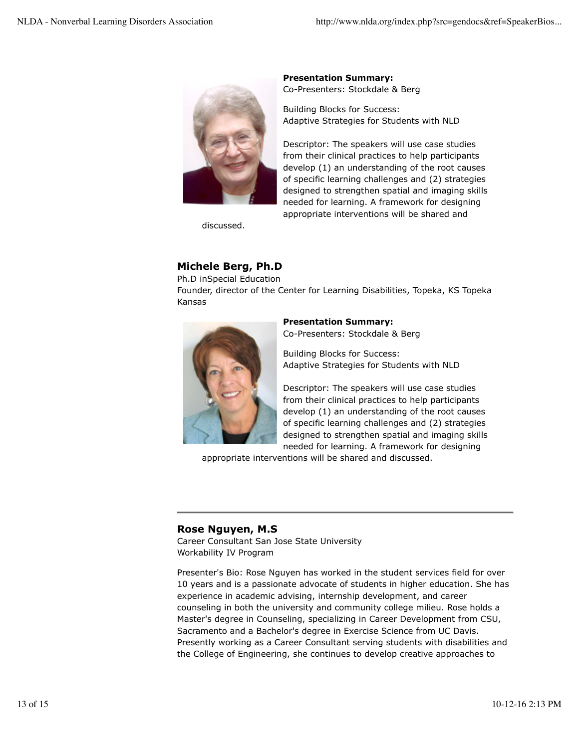

**Presentation Summary:** Co-Presenters: Stockdale & Berg

Building Blocks for Success: Adaptive Strategies for Students with NLD

Descriptor: The speakers will use case studies from their clinical practices to help participants develop (1) an understanding of the root causes of specific learning challenges and (2) strategies designed to strengthen spatial and imaging skills needed for learning. A framework for designing appropriate interventions will be shared and

discussed.

## **Michele Berg, Ph.D**

Ph.D inSpecial Education Founder, director of the Center for Learning Disabilities, Topeka, KS Topeka Kansas



## **Presentation Summary:**

Co-Presenters: Stockdale & Berg

Building Blocks for Success: Adaptive Strategies for Students with NLD

Descriptor: The speakers will use case studies from their clinical practices to help participants develop (1) an understanding of the root causes of specific learning challenges and (2) strategies designed to strengthen spatial and imaging skills needed for learning. A framework for designing

appropriate interventions will be shared and discussed.

## **Rose Nguyen, M.S**

Career Consultant San Jose State University Workability IV Program

Presenter's Bio: Rose Nguyen has worked in the student services field for over 10 years and is a passionate advocate of students in higher education. She has experience in academic advising, internship development, and career counseling in both the university and community college milieu. Rose holds a Master's degree in Counseling, specializing in Career Development from CSU, Sacramento and a Bachelor's degree in Exercise Science from UC Davis. Presently working as a Career Consultant serving students with disabilities and the College of Engineering, she continues to develop creative approaches to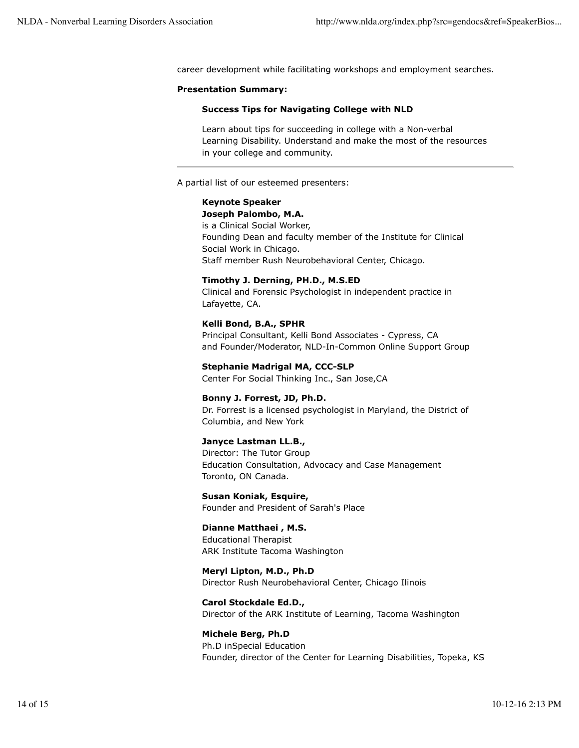career development while facilitating workshops and employment searches.

#### **Presentation Summary:**

#### **Success Tips for Navigating College with NLD**

Learn about tips for succeeding in college with a Non-verbal Learning Disability. Understand and make the most of the resources in your college and community.

A partial list of our esteemed presenters:

## **Keynote Speaker**

**Joseph Palombo, M.A.** is a Clinical Social Worker, Founding Dean and faculty member of the Institute for Clinical Social Work in Chicago. Staff member Rush Neurobehavioral Center, Chicago.

#### **Timothy J. Derning, PH.D., M.S.ED**

Clinical and Forensic Psychologist in independent practice in Lafayette, CA.

#### **Kelli Bond, B.A., SPHR**

Principal Consultant, Kelli Bond Associates - Cypress, CA and Founder/Moderator, NLD-In-Common Online Support Group

# **Stephanie Madrigal MA, CCC-SLP**

Center For Social Thinking Inc., San Jose,CA

#### **Bonny J. Forrest, JD, Ph.D.**

Dr. Forrest is a licensed psychologist in Maryland, the District of Columbia, and New York

#### **Janyce Lastman LL.B.,**

Director: The Tutor Group Education Consultation, Advocacy and Case Management Toronto, ON Canada.

**Susan Koniak, Esquire,** Founder and President of Sarah's Place

**Dianne Matthaei , M.S.** Educational Therapist ARK Institute Tacoma Washington

**Meryl Lipton, M.D., Ph.D** Director Rush Neurobehavioral Center, Chicago Ilinois

**Carol Stockdale Ed.D.,** Director of the ARK Institute of Learning, Tacoma Washington

**Michele Berg, Ph.D** Ph.D inSpecial Education Founder, director of the Center for Learning Disabilities, Topeka, KS